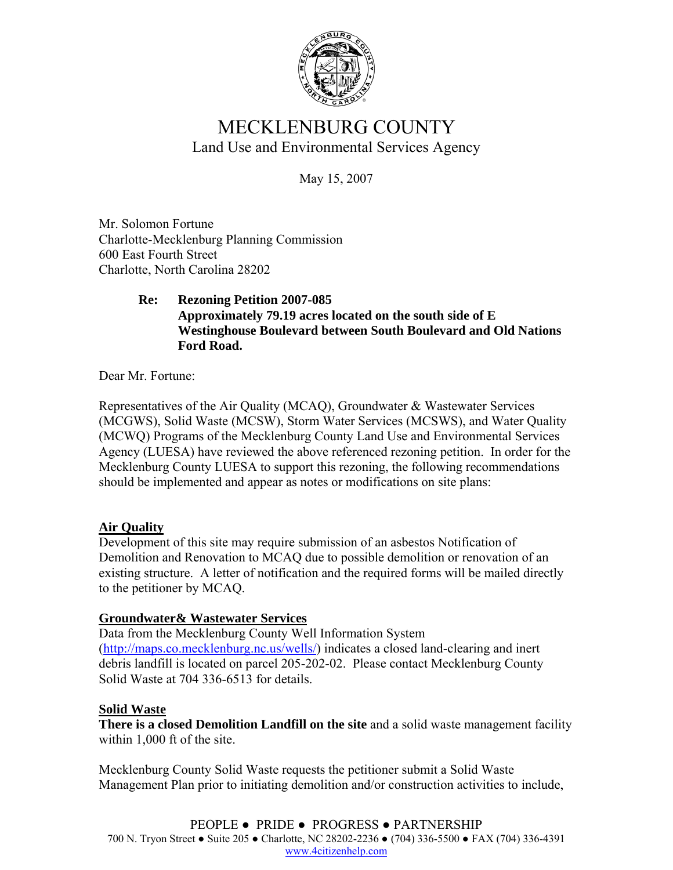

# MECKLENBURG COUNTY Land Use and Environmental Services Agency

May 15, 2007

Mr. Solomon Fortune Charlotte-Mecklenburg Planning Commission 600 East Fourth Street Charlotte, North Carolina 28202

## **Re: Rezoning Petition 2007-085 Approximately 79.19 acres located on the south side of E Westinghouse Boulevard between South Boulevard and Old Nations Ford Road.**

Dear Mr. Fortune:

Representatives of the Air Quality (MCAQ), Groundwater & Wastewater Services (MCGWS), Solid Waste (MCSW), Storm Water Services (MCSWS), and Water Quality (MCWQ) Programs of the Mecklenburg County Land Use and Environmental Services Agency (LUESA) have reviewed the above referenced rezoning petition. In order for the Mecklenburg County LUESA to support this rezoning, the following recommendations should be implemented and appear as notes or modifications on site plans:

# **Air Quality**

Development of this site may require submission of an asbestos Notification of Demolition and Renovation to MCAQ due to possible demolition or renovation of an existing structure. A letter of notification and the required forms will be mailed directly to the petitioner by MCAQ.

# **Groundwater& Wastewater Services**

Data from the Mecklenburg County Well Information System (http://maps.co.mecklenburg.nc.us/wells/) indicates a closed land-clearing and inert debris landfill is located on parcel 205-202-02. Please contact Mecklenburg County Solid Waste at 704 336-6513 for details.

# **Solid Waste**

**There is a closed Demolition Landfill on the site** and a solid waste management facility within 1,000 ft of the site.

Mecklenburg County Solid Waste requests the petitioner submit a Solid Waste Management Plan prior to initiating demolition and/or construction activities to include,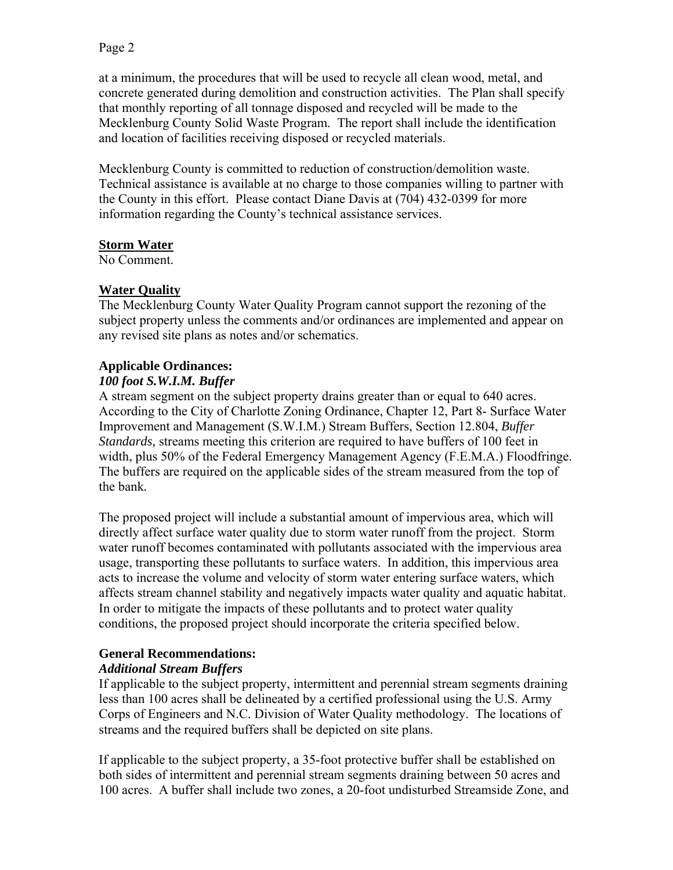### Page 2

at a minimum, the procedures that will be used to recycle all clean wood, metal, and concrete generated during demolition and construction activities. The Plan shall specify that monthly reporting of all tonnage disposed and recycled will be made to the Mecklenburg County Solid Waste Program. The report shall include the identification and location of facilities receiving disposed or recycled materials.

Mecklenburg County is committed to reduction of construction/demolition waste. Technical assistance is available at no charge to those companies willing to partner with the County in this effort. Please contact Diane Davis at (704) 432-0399 for more information regarding the County's technical assistance services.

#### **Storm Water**

No Comment.

### **Water Quality**

The Mecklenburg County Water Quality Program cannot support the rezoning of the subject property unless the comments and/or ordinances are implemented and appear on any revised site plans as notes and/or schematics.

# **Applicable Ordinances:**

#### *100 foot S.W.I.M. Buffer*

A stream segment on the subject property drains greater than or equal to 640 acres. According to the City of Charlotte Zoning Ordinance, Chapter 12, Part 8- Surface Water Improvement and Management (S.W.I.M.) Stream Buffers, Section 12.804, *Buffer Standards,* streams meeting this criterion are required to have buffers of 100 feet in width, plus 50% of the Federal Emergency Management Agency (F.E.M.A.) Floodfringe. The buffers are required on the applicable sides of the stream measured from the top of the bank*.* 

The proposed project will include a substantial amount of impervious area, which will directly affect surface water quality due to storm water runoff from the project. Storm water runoff becomes contaminated with pollutants associated with the impervious area usage, transporting these pollutants to surface waters. In addition, this impervious area acts to increase the volume and velocity of storm water entering surface waters, which affects stream channel stability and negatively impacts water quality and aquatic habitat. In order to mitigate the impacts of these pollutants and to protect water quality conditions, the proposed project should incorporate the criteria specified below.

### **General Recommendations:**

### *Additional Stream Buffers*

If applicable to the subject property, intermittent and perennial stream segments draining less than 100 acres shall be delineated by a certified professional using the U.S. Army Corps of Engineers and N.C. Division of Water Quality methodology. The locations of streams and the required buffers shall be depicted on site plans.

If applicable to the subject property, a 35-foot protective buffer shall be established on both sides of intermittent and perennial stream segments draining between 50 acres and 100 acres. A buffer shall include two zones, a 20-foot undisturbed Streamside Zone, and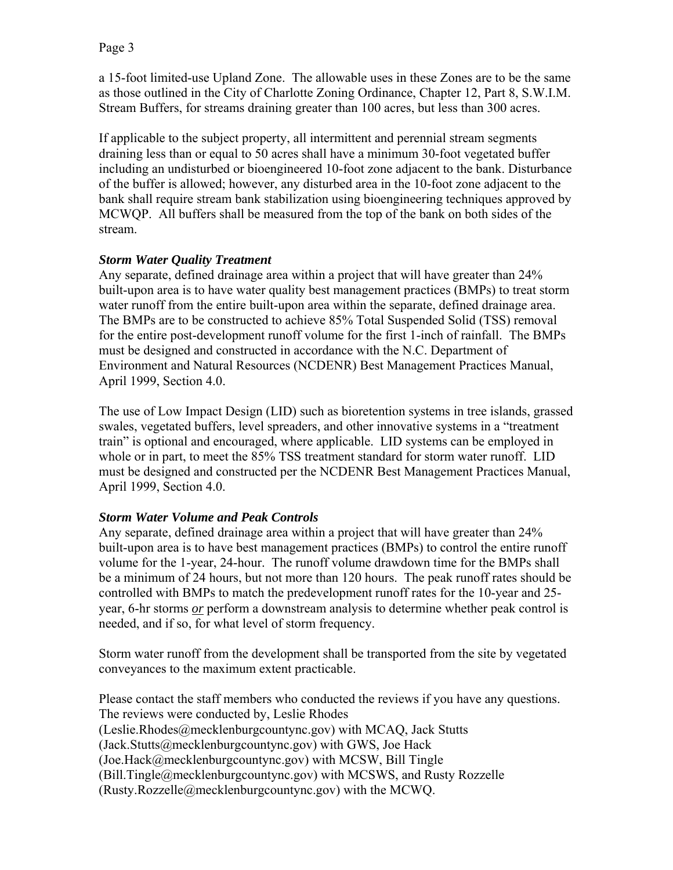a 15-foot limited-use Upland Zone. The allowable uses in these Zones are to be the same as those outlined in the City of Charlotte Zoning Ordinance, Chapter 12, Part 8, S.W.I.M. Stream Buffers, for streams draining greater than 100 acres, but less than 300 acres.

If applicable to the subject property, all intermittent and perennial stream segments draining less than or equal to 50 acres shall have a minimum 30-foot vegetated buffer including an undisturbed or bioengineered 10-foot zone adjacent to the bank. Disturbance of the buffer is allowed; however, any disturbed area in the 10-foot zone adjacent to the bank shall require stream bank stabilization using bioengineering techniques approved by MCWQP. All buffers shall be measured from the top of the bank on both sides of the stream.

### *Storm Water Quality Treatment*

Any separate, defined drainage area within a project that will have greater than 24% built-upon area is to have water quality best management practices (BMPs) to treat storm water runoff from the entire built-upon area within the separate, defined drainage area. The BMPs are to be constructed to achieve 85% Total Suspended Solid (TSS) removal for the entire post-development runoff volume for the first 1-inch of rainfall. The BMPs must be designed and constructed in accordance with the N.C. Department of Environment and Natural Resources (NCDENR) Best Management Practices Manual, April 1999, Section 4.0.

The use of Low Impact Design (LID) such as bioretention systems in tree islands, grassed swales, vegetated buffers, level spreaders, and other innovative systems in a "treatment train" is optional and encouraged, where applicable. LID systems can be employed in whole or in part, to meet the 85% TSS treatment standard for storm water runoff. LID must be designed and constructed per the NCDENR Best Management Practices Manual, April 1999, Section 4.0.

### *Storm Water Volume and Peak Controls*

Any separate, defined drainage area within a project that will have greater than 24% built-upon area is to have best management practices (BMPs) to control the entire runoff volume for the 1-year, 24-hour. The runoff volume drawdown time for the BMPs shall be a minimum of 24 hours, but not more than 120 hours. The peak runoff rates should be controlled with BMPs to match the predevelopment runoff rates for the 10-year and 25 year, 6-hr storms *or* perform a downstream analysis to determine whether peak control is needed, and if so, for what level of storm frequency.

Storm water runoff from the development shall be transported from the site by vegetated conveyances to the maximum extent practicable.

Please contact the staff members who conducted the reviews if you have any questions. The reviews were conducted by, Leslie Rhodes (Leslie.Rhodes@mecklenburgcountync.gov) with MCAQ, Jack Stutts (Jack.Stutts@mecklenburgcountync.gov) with GWS, Joe Hack (Joe.Hack@mecklenburgcountync.gov) with MCSW, Bill Tingle (Bill.Tingle@mecklenburgcountync.gov) with MCSWS, and Rusty Rozzelle (Rusty.Rozzelle@mecklenburgcountync.gov) with the MCWQ.